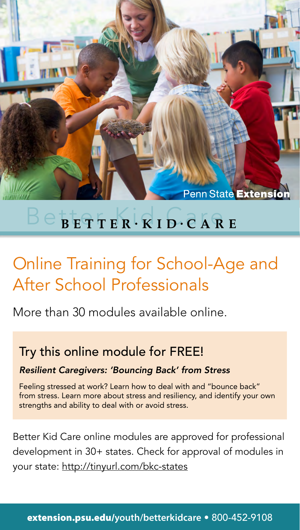

## $\mathbb{B} \in \mathbb{B}$ etter Kid O $\mathbb{C}$  ARE

## Online Training for School-Age and After School Professionals

More than 30 modules available online.

### Try this online module for FREE!

*Resilient Caregivers: 'Bouncing Back' from Stress*

Feeling stressed at work? Learn how to deal with and "bounce back" from stress. Learn more about stress and resiliency, and identify your own strengths and ability to deal with or avoid stress.

Better Kid Care online modules are approved for professional development in 30+ states. Check for approval of modules in your state: http://tinyurl.com/bkc-states